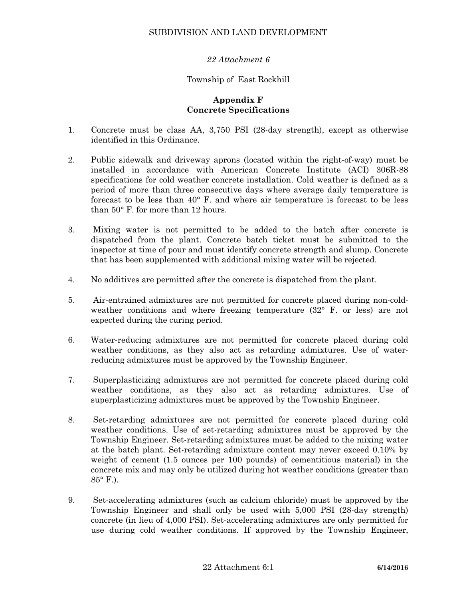# SUBDIVISION AND LAND DEVELOPMENT

# *22 Attachment 6*

#### Township of East Rockhill

# **Appendix F Concrete Specifications**

- 1. Concrete must be class AA, 3,750 PSI (28-day strength), except as otherwise identified in this Ordinance.
- 2. Public sidewalk and driveway aprons (located within the right-of-way) must be installed in accordance with American Concrete Institute (ACI) 306R-88 specifications for cold weather concrete installation. Cold weather is defined as a period of more than three consecutive days where average daily temperature is forecast to be less than 40° F. and where air temperature is forecast to be less than 50° F. for more than 12 hours.
- 3. Mixing water is not permitted to be added to the batch after concrete is dispatched from the plant. Concrete batch ticket must be submitted to the inspector at time of pour and must identify concrete strength and slump. Concrete that has been supplemented with additional mixing water will be rejected.
- 4. No additives are permitted after the concrete is dispatched from the plant.
- 5. Air-entrained admixtures are not permitted for concrete placed during non-coldweather conditions and where freezing temperature (32° F. or less) are not expected during the curing period.
- 6. Water-reducing admixtures are not permitted for concrete placed during cold weather conditions, as they also act as retarding admixtures. Use of waterreducing admixtures must be approved by the Township Engineer.
- 7. Superplasticizing admixtures are not permitted for concrete placed during cold weather conditions, as they also act as retarding admixtures. Use of superplasticizing admixtures must be approved by the Township Engineer.
- 8. Set-retarding admixtures are not permitted for concrete placed during cold weather conditions. Use of set-retarding admixtures must be approved by the Township Engineer. Set-retarding admixtures must be added to the mixing water at the batch plant. Set-retarding admixture content may never exceed 0.10% by weight of cement (1.5 ounces per 100 pounds) of cementitious material) in the concrete mix and may only be utilized during hot weather conditions (greater than 85° F.).
- 9. Set-accelerating admixtures (such as calcium chloride) must be approved by the Township Engineer and shall only be used with 5,000 PSI (28-day strength) concrete (in lieu of 4,000 PSI). Set-accelerating admixtures are only permitted for use during cold weather conditions. If approved by the Township Engineer,